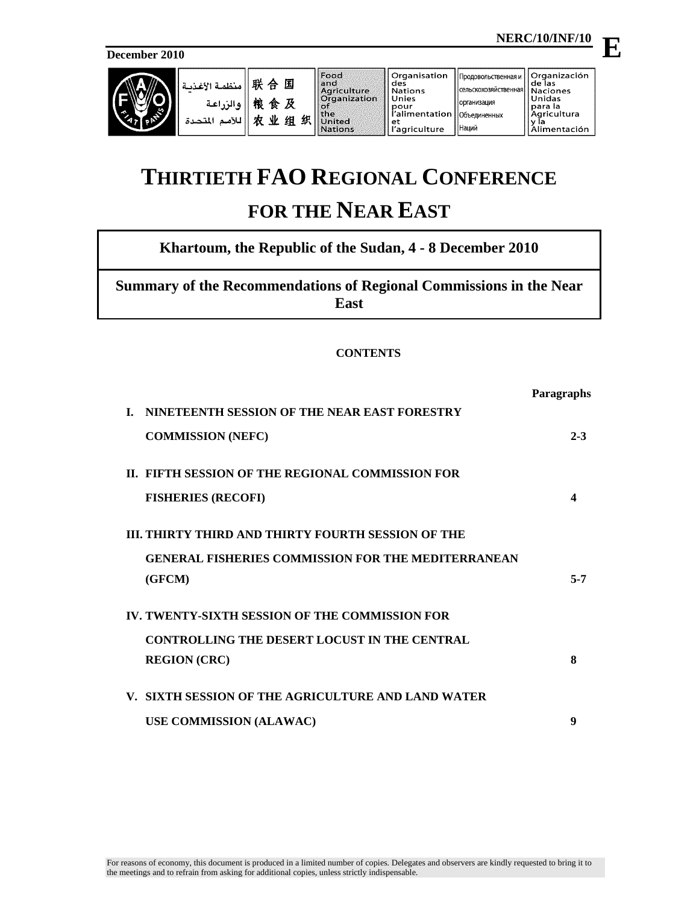**December 2010**

| <b>AST</b><br>$\rightsquigarrow$ | -    منظمة الأغذسة '<br>ه الن اعة<br>اللأمد<br>المتحدة | 联<br>国<br>. 合<br>桹<br>及<br>食<br>业<br>农<br>织<br>组 | Food<br>and<br>Agriculture<br><b>Organization</b><br>XO T<br><b>the</b><br>Jnited<br><b>Nations</b> | ll Organisation<br>I des<br>l Nations<br>II Unies<br>II pour<br>d'alimentation   Объединенных<br>l et<br>'agriculture | ' Продовольственная и    Organización<br><b>I</b> Сельскохозяйственная   Naciones<br>Порганизация<br><b>Наций</b> | l de las<br>Unidas<br>Ipara la<br>l Agricultura<br>Alimentación |
|----------------------------------|--------------------------------------------------------|--------------------------------------------------|-----------------------------------------------------------------------------------------------------|-----------------------------------------------------------------------------------------------------------------------|-------------------------------------------------------------------------------------------------------------------|-----------------------------------------------------------------|
|----------------------------------|--------------------------------------------------------|--------------------------------------------------|-----------------------------------------------------------------------------------------------------|-----------------------------------------------------------------------------------------------------------------------|-------------------------------------------------------------------------------------------------------------------|-----------------------------------------------------------------|

# **THIRTIETH FAO REGIONAL CONFERENCE**

## **FOR THE NEAR EAST**

### **Khartoum, the Republic of the Sudan, 4 - 8 December 2010**

**Summary of the Recommendations of Regional Commissions in the Near East**

#### **CONTENTS**

|                                                           | <b>Paragraphs</b> |
|-----------------------------------------------------------|-------------------|
| NINETEENTH SESSION OF THE NEAR EAST FORESTRY<br>L.        |                   |
| <b>COMMISSION (NEFC)</b>                                  | $2 - 3$           |
| IL FIFTH SESSION OF THE REGIONAL COMMISSION FOR           |                   |
| <b>FISHERIES (RECOFI)</b>                                 | Δ                 |
| III. THIRTY THIRD AND THIRTY FOURTH SESSION OF THE        |                   |
| <b>GENERAL FISHERIES COMMISSION FOR THE MEDITERRANEAN</b> |                   |
| (GFCM)                                                    | $5 - 7$           |
| IV. TWENTY-SIXTH SESSION OF THE COMMISSION FOR            |                   |
| <b>CONTROLLING THE DESERT LOCUST IN THE CENTRAL</b>       |                   |
| <b>REGION (CRC)</b>                                       | 8                 |
| V. SIXTH SESSION OF THE AGRICULTURE AND LAND WATER        |                   |
| <b>USE COMMISSION (ALAWAC)</b>                            | 9                 |

**E**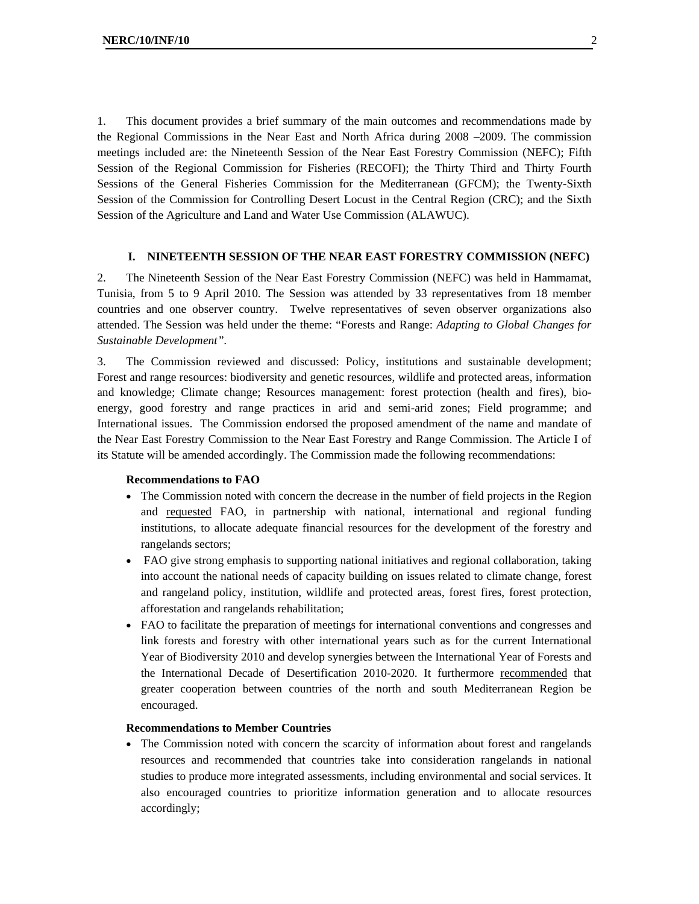1. This document provides a brief summary of the main outcomes and recommendations made by the Regional Commissions in the Near East and North Africa during 2008 –2009. The commission meetings included are: the Nineteenth Session of the Near East Forestry Commission (NEFC); Fifth Session of the Regional Commission for Fisheries (RECOFI); the Thirty Third and Thirty Fourth Sessions of the General Fisheries Commission for the Mediterranean (GFCM); the Twenty-Sixth Session of the Commission for Controlling Desert Locust in the Central Region (CRC); and the Sixth Session of the Agriculture and Land and Water Use Commission (ALAWUC).

#### **I. NINETEENTH SESSION OF THE NEAR EAST FORESTRY COMMISSION (NEFC)**

2. The Nineteenth Session of the Near East Forestry Commission (NEFC) was held in Hammamat, Tunisia, from 5 to 9 April 2010. The Session was attended by 33 representatives from 18 member countries and one observer country. Twelve representatives of seven observer organizations also attended. The Session was held under the theme: "Forests and Range: *Adapting to Global Changes for Sustainable Development".* 

3. The Commission reviewed and discussed: Policy, institutions and sustainable development; Forest and range resources: biodiversity and genetic resources, wildlife and protected areas, information and knowledge; Climate change; Resources management: forest protection (health and fires), bioenergy, good forestry and range practices in arid and semi-arid zones; Field programme; and International issues. The Commission endorsed the proposed amendment of the name and mandate of the Near East Forestry Commission to the Near East Forestry and Range Commission. The Article I of its Statute will be amended accordingly. The Commission made the following recommendations:

#### **Recommendations to FAO**

- The Commission noted with concern the decrease in the number of field projects in the Region and requested FAO, in partnership with national, international and regional funding institutions, to allocate adequate financial resources for the development of the forestry and rangelands sectors;
- FAO give strong emphasis to supporting national initiatives and regional collaboration, taking into account the national needs of capacity building on issues related to climate change, forest and rangeland policy, institution, wildlife and protected areas, forest fires, forest protection, afforestation and rangelands rehabilitation;
- FAO to facilitate the preparation of meetings for international conventions and congresses and link forests and forestry with other international years such as for the current International Year of Biodiversity 2010 and develop synergies between the International Year of Forests and the International Decade of Desertification 2010-2020. It furthermore recommended that greater cooperation between countries of the north and south Mediterranean Region be encouraged.

#### **Recommendations to Member Countries**

• The Commission noted with concern the scarcity of information about forest and rangelands resources and recommended that countries take into consideration rangelands in national studies to produce more integrated assessments, including environmental and social services. It also encouraged countries to prioritize information generation and to allocate resources accordingly;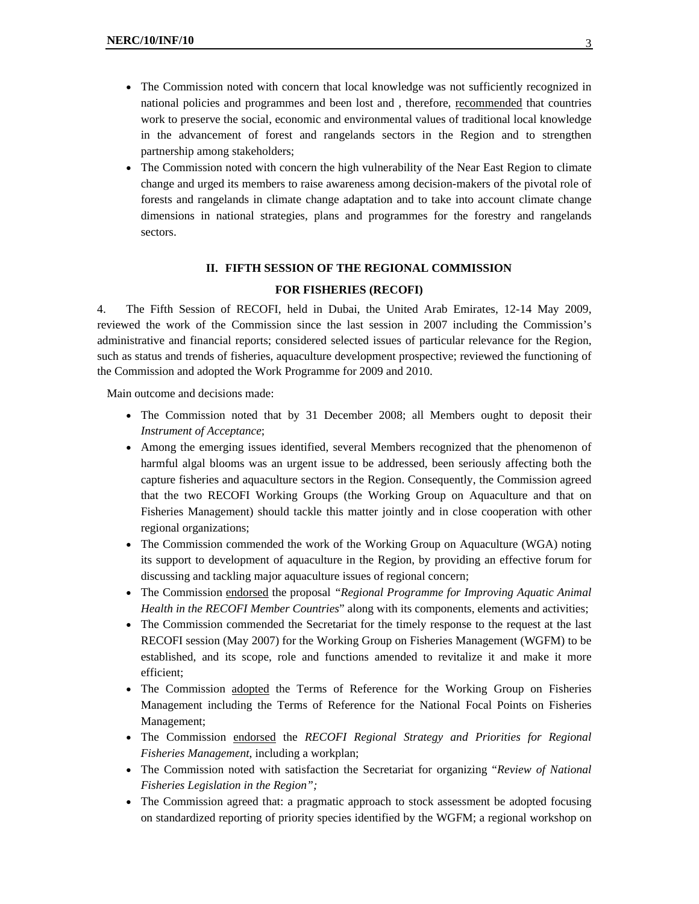- The Commission noted with concern that local knowledge was not sufficiently recognized in national policies and programmes and been lost and , therefore, recommended that countries work to preserve the social, economic and environmental values of traditional local knowledge in the advancement of forest and rangelands sectors in the Region and to strengthen partnership among stakeholders;
- The Commission noted with concern the high vulnerability of the Near East Region to climate change and urged its members to raise awareness among decision-makers of the pivotal role of forests and rangelands in climate change adaptation and to take into account climate change dimensions in national strategies, plans and programmes for the forestry and rangelands sectors.

#### **II. FIFTH SESSION OF THE REGIONAL COMMISSION**

#### **FOR FISHERIES (RECOFI)**

4. The Fifth Session of RECOFI, held in Dubai, the United Arab Emirates, 12-14 May 2009, reviewed the work of the Commission since the last session in 2007 including the Commission's administrative and financial reports; considered selected issues of particular relevance for the Region, such as status and trends of fisheries, aquaculture development prospective; reviewed the functioning of the Commission and adopted the Work Programme for 2009 and 2010.

Main outcome and decisions made:

- The Commission noted that by 31 December 2008; all Members ought to deposit their *Instrument of Acceptance*;
- Among the emerging issues identified, several Members recognized that the phenomenon of harmful algal blooms was an urgent issue to be addressed, been seriously affecting both the capture fisheries and aquaculture sectors in the Region. Consequently, the Commission agreed that the two RECOFI Working Groups (the Working Group on Aquaculture and that on Fisheries Management) should tackle this matter jointly and in close cooperation with other regional organizations;
- The Commission commended the work of the Working Group on Aquaculture (WGA) noting its support to development of aquaculture in the Region, by providing an effective forum for discussing and tackling major aquaculture issues of regional concern;
- The Commission endorsed the proposal *"Regional Programme for Improving Aquatic Animal Health in the RECOFI Member Countries*" along with its components, elements and activities;
- The Commission commended the Secretariat for the timely response to the request at the last RECOFI session (May 2007) for the Working Group on Fisheries Management (WGFM) to be established, and its scope, role and functions amended to revitalize it and make it more efficient;
- The Commission adopted the Terms of Reference for the Working Group on Fisheries Management including the Terms of Reference for the National Focal Points on Fisheries Management;
- The Commission endorsed the *RECOFI Regional Strategy and Priorities for Regional Fisheries Management*, including a workplan;
- The Commission noted with satisfaction the Secretariat for organizing "*Review of National Fisheries Legislation in the Region";*
- The Commission agreed that: a pragmatic approach to stock assessment be adopted focusing on standardized reporting of priority species identified by the WGFM; a regional workshop on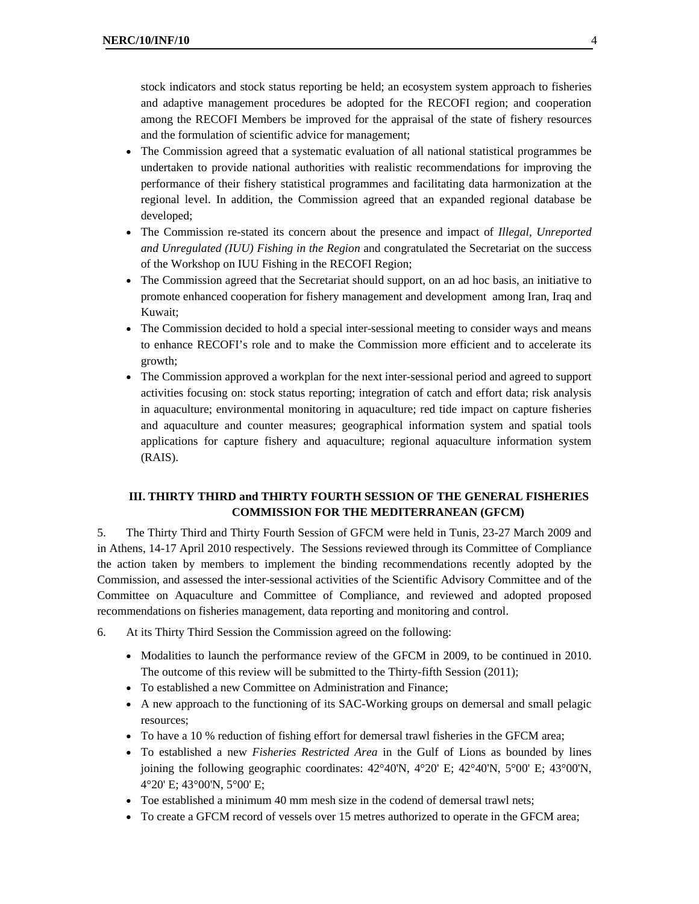stock indicators and stock status reporting be held; an ecosystem system approach to fisheries and adaptive management procedures be adopted for the RECOFI region; and cooperation among the RECOFI Members be improved for the appraisal of the state of fishery resources and the formulation of scientific advice for management;

- The Commission agreed that a systematic evaluation of all national statistical programmes be undertaken to provide national authorities with realistic recommendations for improving the performance of their fishery statistical programmes and facilitating data harmonization at the regional level. In addition, the Commission agreed that an expanded regional database be developed;
- The Commission re-stated its concern about the presence and impact of *Illegal, Unreported and Unregulated (IUU) Fishing in the Region* and congratulated the Secretariat on the success of the Workshop on IUU Fishing in the RECOFI Region;
- The Commission agreed that the Secretariat should support, on an ad hoc basis, an initiative to promote enhanced cooperation for fishery management and development among Iran, Iraq and Kuwait;
- The Commission decided to hold a special inter-sessional meeting to consider ways and means to enhance RECOFI's role and to make the Commission more efficient and to accelerate its growth;
- The Commission approved a workplan for the next inter-sessional period and agreed to support activities focusing on: stock status reporting; integration of catch and effort data; risk analysis in aquaculture; environmental monitoring in aquaculture; red tide impact on capture fisheries and aquaculture and counter measures; geographical information system and spatial tools applications for capture fishery and aquaculture; regional aquaculture information system (RAIS).

#### **III. THIRTY THIRD and THIRTY FOURTH SESSION OF THE GENERAL FISHERIES COMMISSION FOR THE MEDITERRANEAN (GFCM)**

5. The Thirty Third and Thirty Fourth Session of GFCM were held in Tunis, 23-27 March 2009 and in Athens, 14-17 April 2010 respectively. The Sessions reviewed through its Committee of Compliance the action taken by members to implement the binding recommendations recently adopted by the Commission, and assessed the inter-sessional activities of the Scientific Advisory Committee and of the Committee on Aquaculture and Committee of Compliance, and reviewed and adopted proposed recommendations on fisheries management, data reporting and monitoring and control.

- 6. At its Thirty Third Session the Commission agreed on the following:
	- Modalities to launch the performance review of the GFCM in 2009, to be continued in 2010. The outcome of this review will be submitted to the Thirty-fifth Session (2011);
	- To established a new Committee on Administration and Finance;
	- A new approach to the functioning of its SAC-Working groups on demersal and small pelagic resources;
	- To have a 10 % reduction of fishing effort for demersal trawl fisheries in the GFCM area;
	- To established a new *Fisheries Restricted Area* in the Gulf of Lions as bounded by lines joining the following geographic coordinates: 42°40'N, 4°20' E; 42°40'N, 5°00' E; 43°00'N, 4°20' E; 43°00'N, 5°00' E;
	- Toe established a minimum 40 mm mesh size in the codend of demersal trawl nets;
	- To create a GFCM record of vessels over 15 metres authorized to operate in the GFCM area;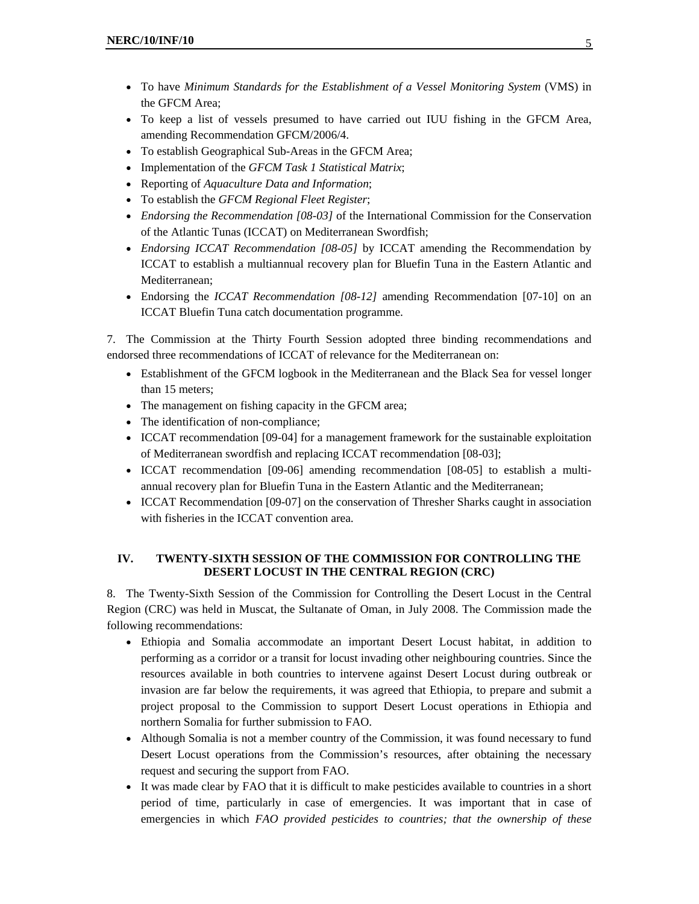- To have *Minimum Standards for the Establishment of a Vessel Monitoring System* (VMS) in the GFCM Area;
- To keep a list of vessels presumed to have carried out IUU fishing in the GFCM Area, amending Recommendation GFCM/2006/4.
- To establish Geographical Sub-Areas in the GFCM Area;
- Implementation of the *GFCM Task 1 Statistical Matrix*;
- Reporting of *Aquaculture Data and Information*;
- To establish the *GFCM Regional Fleet Register*;
- *Endorsing the Recommendation [08-03]* of the International Commission for the Conservation of the Atlantic Tunas (ICCAT) on Mediterranean Swordfish;
- *Endorsing ICCAT Recommendation [08-05]* by ICCAT amending the Recommendation by ICCAT to establish a multiannual recovery plan for Bluefin Tuna in the Eastern Atlantic and Mediterranean;
- Endorsing the *ICCAT Recommendation [08-12]* amending Recommendation [07-10] on an ICCAT Bluefin Tuna catch documentation programme.

7. The Commission at the Thirty Fourth Session adopted three binding recommendations and endorsed three recommendations of ICCAT of relevance for the Mediterranean on:

- Establishment of the GFCM logbook in the Mediterranean and the Black Sea for vessel longer than 15 meters;
- The management on fishing capacity in the GFCM area;
- The identification of non-compliance;
- ICCAT recommendation [09-04] for a management framework for the sustainable exploitation of Mediterranean swordfish and replacing ICCAT recommendation [08-03];
- ICCAT recommendation [09-06] amending recommendation [08-05] to establish a multiannual recovery plan for Bluefin Tuna in the Eastern Atlantic and the Mediterranean;
- ICCAT Recommendation [09-07] on the conservation of Thresher Sharks caught in association with fisheries in the ICCAT convention area.

#### **IV. TWENTY-SIXTH SESSION OF THE COMMISSION FOR CONTROLLING THE DESERT LOCUST IN THE CENTRAL REGION (CRC)**

8. The Twenty-Sixth Session of the Commission for Controlling the Desert Locust in the Central Region (CRC) was held in Muscat, the Sultanate of Oman, in July 2008. The Commission made the following recommendations:

- Ethiopia and Somalia accommodate an important Desert Locust habitat, in addition to performing as a corridor or a transit for locust invading other neighbouring countries. Since the resources available in both countries to intervene against Desert Locust during outbreak or invasion are far below the requirements, it was agreed that Ethiopia, to prepare and submit a project proposal to the Commission to support Desert Locust operations in Ethiopia and northern Somalia for further submission to FAO.
- Although Somalia is not a member country of the Commission, it was found necessary to fund Desert Locust operations from the Commission's resources, after obtaining the necessary request and securing the support from FAO.
- It was made clear by FAO that it is difficult to make pesticides available to countries in a short period of time, particularly in case of emergencies. It was important that in case of emergencies in which *FAO provided pesticides to countries; that the ownership of these*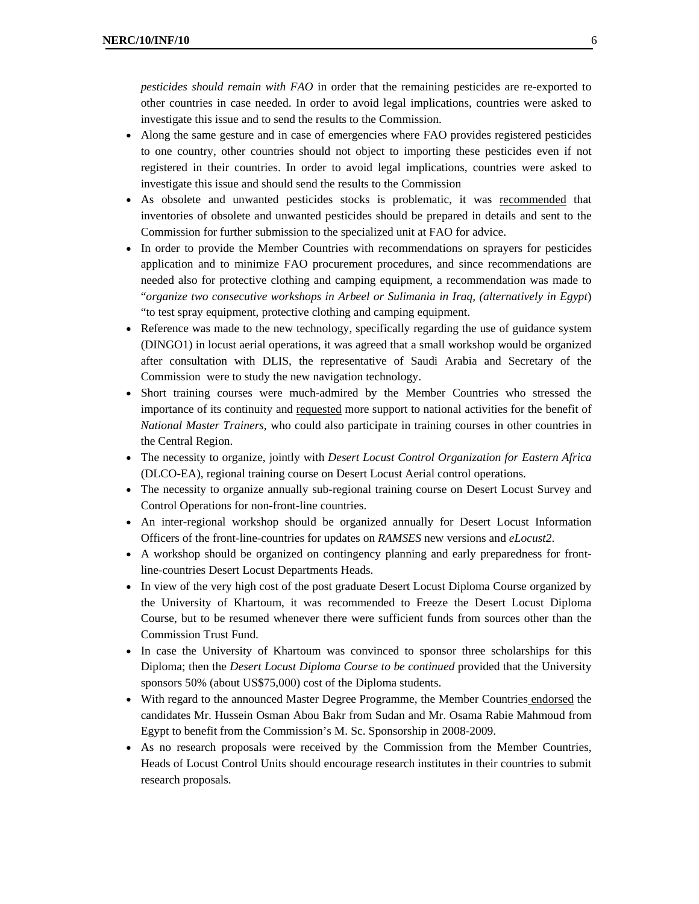- Along the same gesture and in case of emergencies where FAO provides registered pesticides to one country, other countries should not object to importing these pesticides even if not registered in their countries. In order to avoid legal implications, countries were asked to investigate this issue and should send the results to the Commission
- As obsolete and unwanted pesticides stocks is problematic, it was recommended that inventories of obsolete and unwanted pesticides should be prepared in details and sent to the Commission for further submission to the specialized unit at FAO for advice.
- In order to provide the Member Countries with recommendations on sprayers for pesticides application and to minimize FAO procurement procedures, and since recommendations are needed also for protective clothing and camping equipment, a recommendation was made to "*organize two consecutive workshops in Arbeel or Sulimania in Iraq, (alternatively in Egypt*) "to test spray equipment, protective clothing and camping equipment.
- Reference was made to the new technology, specifically regarding the use of guidance system (DINGO1) in locust aerial operations, it was agreed that a small workshop would be organized after consultation with DLIS, the representative of Saudi Arabia and Secretary of the Commission were to study the new navigation technology.
- Short training courses were much-admired by the Member Countries who stressed the importance of its continuity and requested more support to national activities for the benefit of *National Master Trainers*, who could also participate in training courses in other countries in the Central Region.
- The necessity to organize, jointly with *Desert Locust Control Organization for Eastern Africa* (DLCO-EA), regional training course on Desert Locust Aerial control operations.
- The necessity to organize annually sub-regional training course on Desert Locust Survey and Control Operations for non-front-line countries.
- An inter-regional workshop should be organized annually for Desert Locust Information Officers of the front-line-countries for updates on *RAMSES* new versions and *eLocust2*.
- A workshop should be organized on contingency planning and early preparedness for frontline-countries Desert Locust Departments Heads.
- In view of the very high cost of the post graduate Desert Locust Diploma Course organized by the University of Khartoum, it was recommended to Freeze the Desert Locust Diploma Course, but to be resumed whenever there were sufficient funds from sources other than the Commission Trust Fund.
- In case the University of Khartoum was convinced to sponsor three scholarships for this Diploma; then the *Desert Locust Diploma Course to be continued* provided that the University sponsors 50% (about US\$75,000) cost of the Diploma students.
- With regard to the announced Master Degree Programme, the Member Countries endorsed the candidates Mr. Hussein Osman Abou Bakr from Sudan and Mr. Osama Rabie Mahmoud from Egypt to benefit from the Commission's M. Sc. Sponsorship in 2008-2009.
- As no research proposals were received by the Commission from the Member Countries, Heads of Locust Control Units should encourage research institutes in their countries to submit research proposals.